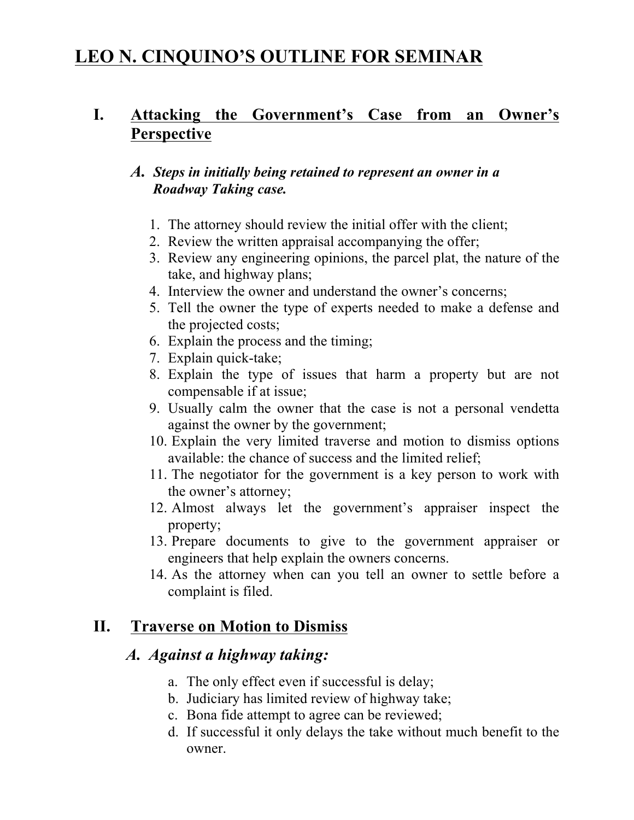# **LEO N. CINQUINO'S OUTLINE FOR SEMINAR**

#### **I. Attacking the Government's Case from an Owner's Perspective**

#### *A. Steps in initially being retained to represent an owner in a Roadway Taking case.*

- 1. The attorney should review the initial offer with the client;
- 2. Review the written appraisal accompanying the offer;
- 3. Review any engineering opinions, the parcel plat, the nature of the take, and highway plans;
- 4. Interview the owner and understand the owner's concerns;
- 5. Tell the owner the type of experts needed to make a defense and the projected costs;
- 6. Explain the process and the timing;
- 7. Explain quick-take;
- 8. Explain the type of issues that harm a property but are not compensable if at issue;
- 9. Usually calm the owner that the case is not a personal vendetta against the owner by the government;
- 10. Explain the very limited traverse and motion to dismiss options available: the chance of success and the limited relief;
- 11. The negotiator for the government is a key person to work with the owner's attorney;
- 12. Almost always let the government's appraiser inspect the property;
- 13. Prepare documents to give to the government appraiser or engineers that help explain the owners concerns.
- 14. As the attorney when can you tell an owner to settle before a complaint is filed.

#### **II. Traverse on Motion to Dismiss**

#### *A. Against a highway taking:*

- a. The only effect even if successful is delay;
- b. Judiciary has limited review of highway take;
- c. Bona fide attempt to agree can be reviewed;
- d. If successful it only delays the take without much benefit to the owner.